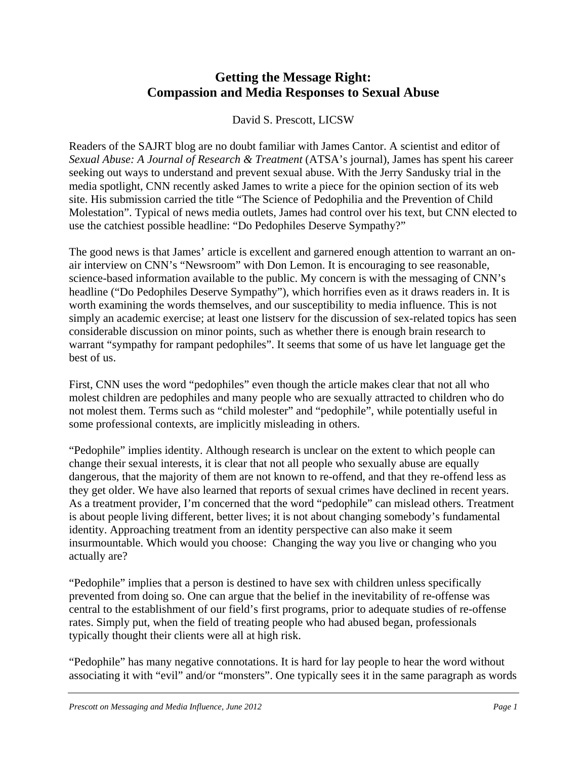## **Getting the Message Right: Compassion and Media Responses to Sexual Abuse**

David S. Prescott, LICSW

Readers of the SAJRT blog are no doubt familiar with James Cantor. A scientist and editor of *Sexual Abuse: A Journal of Research & Treatment* (ATSA's journal), James has spent his career seeking out ways to understand and prevent sexual abuse. With the Jerry Sandusky trial in the media spotlight, CNN recently asked James to write a piece for the opinion section of its web site. His submission carried the title "The Science of Pedophilia and the Prevention of Child Molestation". Typical of news media outlets, James had control over his text, but CNN elected to use the catchiest possible headline: "Do Pedophiles Deserve Sympathy?"

The good news is that James' article is excellent and garnered enough attention to warrant an onair interview on CNN's "Newsroom" with Don Lemon. It is encouraging to see reasonable, science-based information available to the public. My concern is with the messaging of CNN's headline ("Do Pedophiles Deserve Sympathy"), which horrifies even as it draws readers in. It is worth examining the words themselves, and our susceptibility to media influence. This is not simply an academic exercise; at least one listserv for the discussion of sex-related topics has seen considerable discussion on minor points, such as whether there is enough brain research to warrant "sympathy for rampant pedophiles". It seems that some of us have let language get the best of us.

First, CNN uses the word "pedophiles" even though the article makes clear that not all who molest children are pedophiles and many people who are sexually attracted to children who do not molest them. Terms such as "child molester" and "pedophile", while potentially useful in some professional contexts, are implicitly misleading in others.

"Pedophile" implies identity. Although research is unclear on the extent to which people can change their sexual interests, it is clear that not all people who sexually abuse are equally dangerous, that the majority of them are not known to re-offend, and that they re-offend less as they get older. We have also learned that reports of sexual crimes have declined in recent years. As a treatment provider, I'm concerned that the word "pedophile" can mislead others. Treatment is about people living different, better lives; it is not about changing somebody's fundamental identity. Approaching treatment from an identity perspective can also make it seem insurmountable. Which would you choose: Changing the way you live or changing who you actually are?

"Pedophile" implies that a person is destined to have sex with children unless specifically prevented from doing so. One can argue that the belief in the inevitability of re-offense was central to the establishment of our field's first programs, prior to adequate studies of re-offense rates. Simply put, when the field of treating people who had abused began, professionals typically thought their clients were all at high risk.

"Pedophile" has many negative connotations. It is hard for lay people to hear the word without associating it with "evil" and/or "monsters". One typically sees it in the same paragraph as words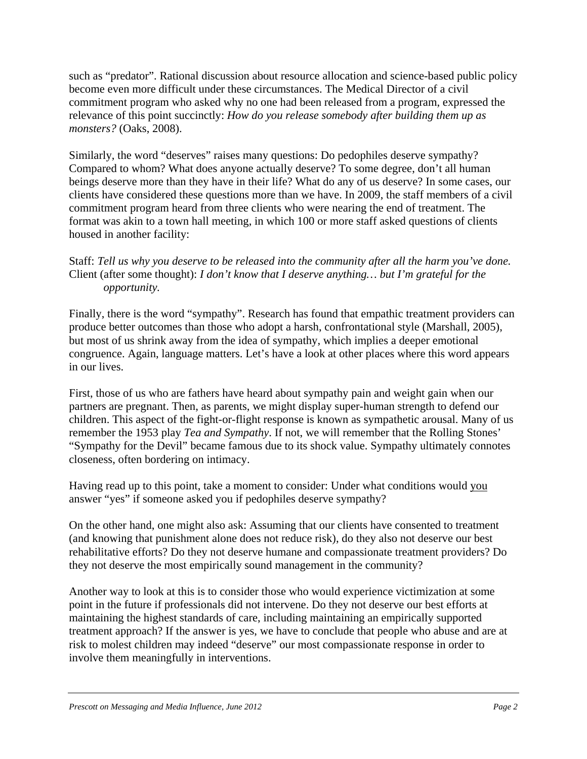such as "predator". Rational discussion about resource allocation and science-based public policy become even more difficult under these circumstances. The Medical Director of a civil commitment program who asked why no one had been released from a program, expressed the relevance of this point succinctly: *How do you release somebody after building them up as monsters?* (Oaks, 2008).

Similarly, the word "deserves" raises many questions: Do pedophiles deserve sympathy? Compared to whom? What does anyone actually deserve? To some degree, don't all human beings deserve more than they have in their life? What do any of us deserve? In some cases, our clients have considered these questions more than we have. In 2009, the staff members of a civil commitment program heard from three clients who were nearing the end of treatment. The format was akin to a town hall meeting, in which 100 or more staff asked questions of clients housed in another facility:

## Staff: *Tell us why you deserve to be released into the community after all the harm you've done.*  Client (after some thought): *I don't know that I deserve anything… but I'm grateful for the opportunity.*

Finally, there is the word "sympathy". Research has found that empathic treatment providers can produce better outcomes than those who adopt a harsh, confrontational style (Marshall, 2005), but most of us shrink away from the idea of sympathy, which implies a deeper emotional congruence. Again, language matters. Let's have a look at other places where this word appears in our lives.

First, those of us who are fathers have heard about sympathy pain and weight gain when our partners are pregnant. Then, as parents, we might display super-human strength to defend our children. This aspect of the fight-or-flight response is known as sympathetic arousal. Many of us remember the 1953 play *Tea and Sympathy*. If not, we will remember that the Rolling Stones' "Sympathy for the Devil" became famous due to its shock value. Sympathy ultimately connotes closeness, often bordering on intimacy.

Having read up to this point, take a moment to consider: Under what conditions would you answer "yes" if someone asked you if pedophiles deserve sympathy?

On the other hand, one might also ask: Assuming that our clients have consented to treatment (and knowing that punishment alone does not reduce risk), do they also not deserve our best rehabilitative efforts? Do they not deserve humane and compassionate treatment providers? Do they not deserve the most empirically sound management in the community?

Another way to look at this is to consider those who would experience victimization at some point in the future if professionals did not intervene. Do they not deserve our best efforts at maintaining the highest standards of care, including maintaining an empirically supported treatment approach? If the answer is yes, we have to conclude that people who abuse and are at risk to molest children may indeed "deserve" our most compassionate response in order to involve them meaningfully in interventions.